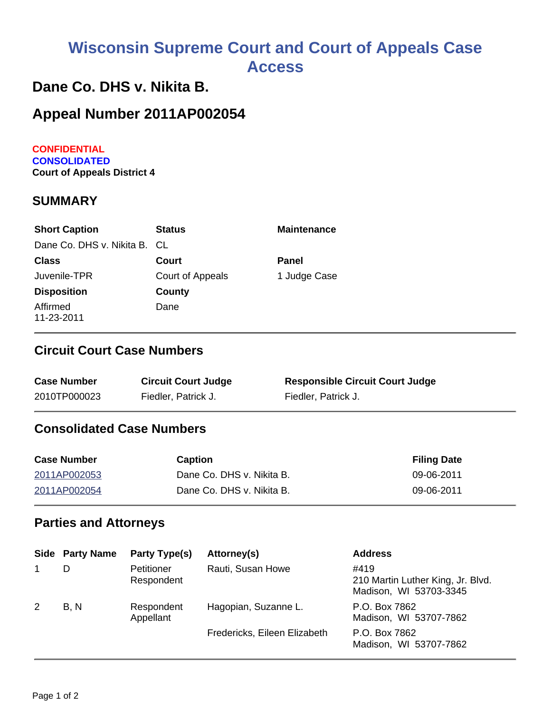# **Wisconsin Supreme Court and Court of Appeals Case Access**

# **Dane Co. DHS v. Nikita B.**

# **Appeal Number 2011AP002054**

**CONFIDENTIAL CONSOLIDATED Court of Appeals District 4**

#### **SUMMARY**

| <b>Short Caption</b>         | <b>Status</b>    | <b>Maintenance</b> |
|------------------------------|------------------|--------------------|
| Dane Co. DHS v. Nikita B. CL |                  |                    |
| <b>Class</b>                 | Court            | <b>Panel</b>       |
| Juvenile-TPR                 | Court of Appeals | 1 Judge Case       |
| <b>Disposition</b>           | County           |                    |
| Affirmed<br>11-23-2011       | Dane             |                    |

# **Circuit Court Case Numbers**

| <b>Case Number</b> | <b>Circuit Court Judge</b> | <b>Responsible Circuit Court Judge</b> |
|--------------------|----------------------------|----------------------------------------|
| 2010TP000023       | Fiedler, Patrick J.        | Fiedler, Patrick J.                    |

# **Consolidated Case Numbers**

| <b>Case Number</b> | <b>Caption</b>            | <b>Filing Date</b> |
|--------------------|---------------------------|--------------------|
| 2011AP002053       | Dane Co. DHS v. Nikita B. | 09-06-2011         |
| 2011AP002054       | Dane Co. DHS v. Nikita B. | 09-06-2011         |

### **Parties and Attorneys**

|   | <b>Side Party Name</b> | Party Type(s)            | Attorney(s)                  | <b>Address</b>                                                      |
|---|------------------------|--------------------------|------------------------------|---------------------------------------------------------------------|
|   | D                      | Petitioner<br>Respondent | Rauti, Susan Howe            | #419<br>210 Martin Luther King, Jr. Blvd.<br>Madison, WI 53703-3345 |
| 2 | B, N                   | Respondent<br>Appellant  | Hagopian, Suzanne L.         | P.O. Box 7862<br>Madison, WI 53707-7862                             |
|   |                        |                          | Fredericks, Eileen Elizabeth | P.O. Box 7862<br>Madison, WI 53707-7862                             |